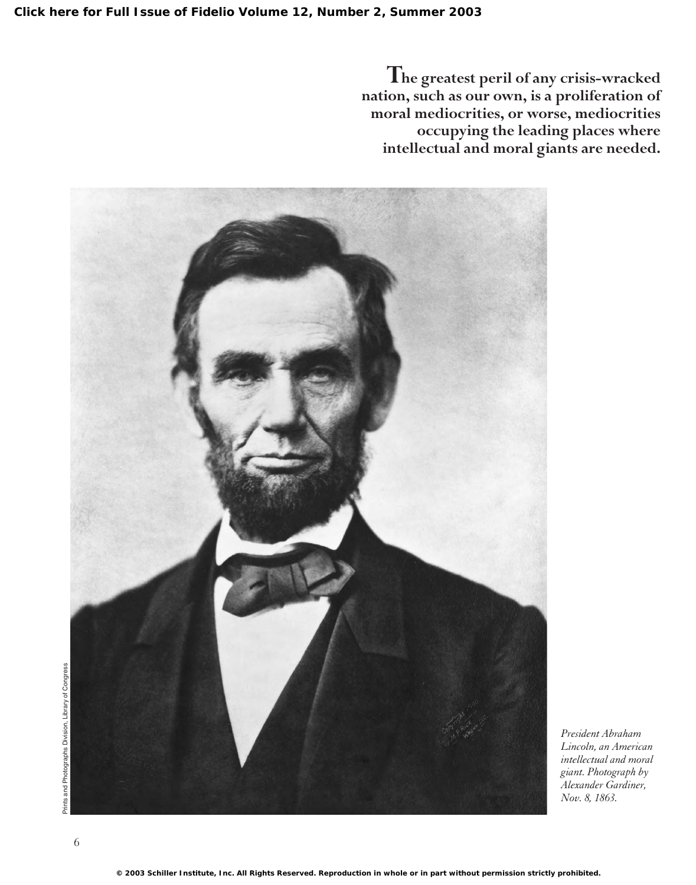**The greatest peril of any crisis-wracked nation, such as our own, is a proliferation of moral mediocrities, or worse, mediocrities occupying the leading places where intellectual and moral giants are needed.**



*President Abraham Lincoln, an American intellectual and moral giant. Photograph by Alexander Gardiner, Nov. 8, 1863.*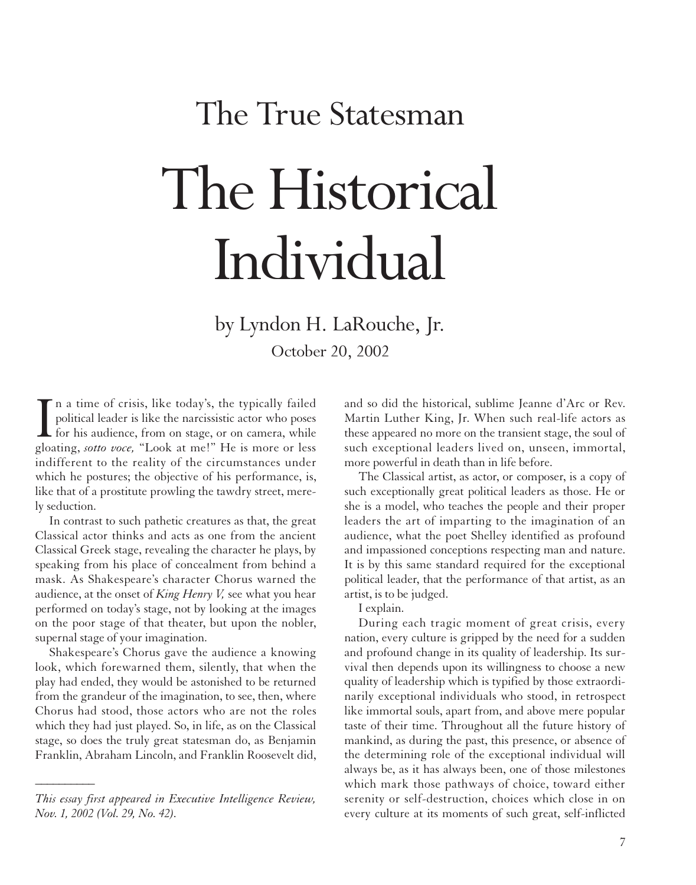# The True Statesman The Historical Individual

by Lyndon H. LaRouche, Jr. October 20, 2002

In a time of crisis, like today's, the typically failed political leader is like the narcissistic actor who poses for his audience, from on stage, or on camera, while gloating, *sotto voce*, "Look at me!" He is more or les n a time of crisis, like today's, the typically failed political leader is like the narcissistic actor who poses  $\blacktriangle$  for his audience, from on stage, or on camera, while indifferent to the reality of the circumstances under which he postures; the objective of his performance, is, like that of a prostitute prowling the tawdry street, merely seduction.

In contrast to such pathetic creatures as that, the great Classical actor thinks and acts as one from the ancient Classical Greek stage, revealing the character he plays, by speaking from his place of concealment from behind a mask. As Shakespeare's character Chorus warned the audience, at the onset of *King Henry V,* see what you hear performed on today's stage, not by looking at the images on the poor stage of that theater, but upon the nobler, supernal stage of your imagination.

Shakespeare's Chorus gave the audience a knowing look, which forewarned them, silently, that when the play had ended, they would be astonished to be returned from the grandeur of the imagination, to see, then, where Chorus had stood, those actors who are not the roles which they had just played. So, in life, as on the Classical stage, so does the truly great statesman do, as Benjamin Franklin, Abraham Lincoln, and Franklin Roosevelt did,

*\_\_\_\_\_\_\_\_\_\_*

and so did the historical, sublime Jeanne d'Arc or Rev. Martin Luther King, Jr. When such real-life actors as these appeared no more on the transient stage, the soul of such exceptional leaders lived on, unseen, immortal, more powerful in death than in life before.

The Classical artist, as actor, or composer, is a copy of such exceptionally great political leaders as those. He or she is a model, who teaches the people and their proper leaders the art of imparting to the imagination of an audience, what the poet Shelley identified as profound and impassioned conceptions respecting man and nature. It is by this same standard required for the exceptional political leader, that the performance of that artist, as an artist, is to be judged.

I explain.

During each tragic moment of great crisis, every nation, every culture is gripped by the need for a sudden and profound change in its quality of leadership. Its survival then depends upon its willingness to choose a new quality of leadership which is typified by those extraordinarily exceptional individuals who stood, in retrospect like immortal souls, apart from, and above mere popular taste of their time. Throughout all the future history of mankind, as during the past, this presence, or absence of the determining role of the exceptional individual will always be, as it has always been, one of those milestones which mark those pathways of choice, toward either serenity or self-destruction, choices which close in on every culture at its moments of such great, self-inflicted

*This essay first appeared in Executive Intelligence Review, Nov. 1, 2002 (Vol. 29, No. 42).*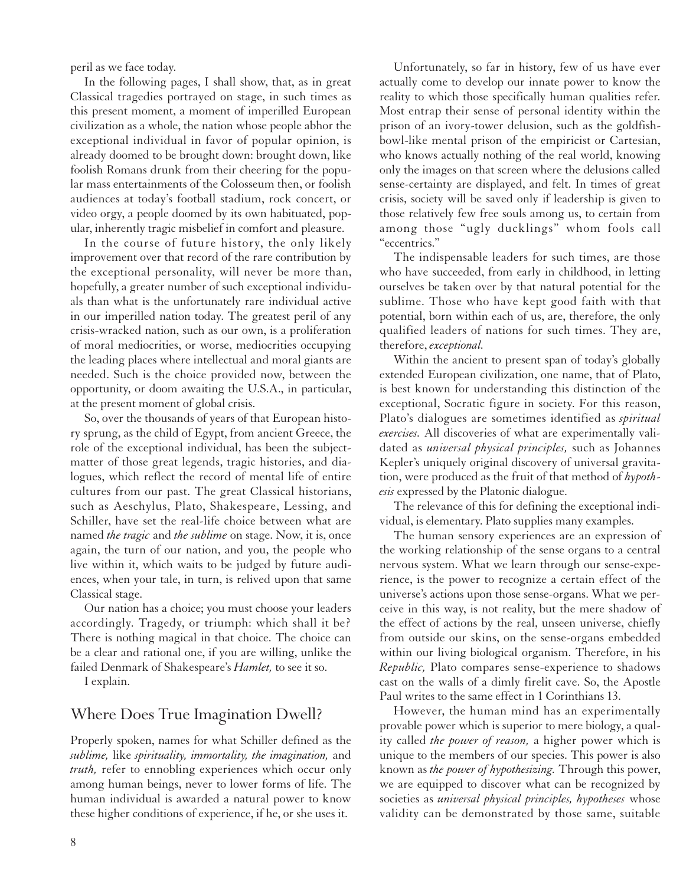peril as we face today.

In the following pages, I shall show, that, as in great Classical tragedies portrayed on stage, in such times as this present moment, a moment of imperilled European civilization as a whole, the nation whose people abhor the exceptional individual in favor of popular opinion, is already doomed to be brought down: brought down, like foolish Romans drunk from their cheering for the popular mass entertainments of the Colosseum then, or foolish audiences at today's football stadium, rock concert, or video orgy, a people doomed by its own habituated, popular, inherently tragic misbelief in comfort and pleasure.

In the course of future history, the only likely improvement over that record of the rare contribution by the exceptional personality, will never be more than, hopefully, a greater number of such exceptional individuals than what is the unfortunately rare individual active in our imperilled nation today. The greatest peril of any crisis-wracked nation, such as our own, is a proliferation of moral mediocrities, or worse, mediocrities occupying the leading places where intellectual and moral giants are needed. Such is the choice provided now, between the opportunity, or doom awaiting the U.S.A., in particular, at the present moment of global crisis.

So, over the thousands of years of that European history sprung, as the child of Egypt, from ancient Greece, the role of the exceptional individual, has been the subjectmatter of those great legends, tragic histories, and dialogues, which reflect the record of mental life of entire cultures from our past. The great Classical historians, such as Aeschylus, Plato, Shakespeare, Lessing, and Schiller, have set the real-life choice between what are named *the tragic* and *the sublime* on stage. Now, it is, once again, the turn of our nation, and you, the people who live within it, which waits to be judged by future audiences, when your tale, in turn, is relived upon that same Classical stage.

Our nation has a choice; you must choose your leaders accordingly. Tragedy, or triumph: which shall it be? There is nothing magical in that choice. The choice can be a clear and rational one, if you are willing, unlike the failed Denmark of Shakespeare's *Hamlet,* to see it so.

I explain.

#### Where Does True Imagination Dwell?

Properly spoken, names for what Schiller defined as the *sublime,* like *spirituality, immortality, the imagination,* and *truth,* refer to ennobling experiences which occur only among human beings, never to lower forms of life. The human individual is awarded a natural power to know these higher conditions of experience, if he, or she uses it.

Unfortunately, so far in history, few of us have ever actually come to develop our innate power to know the reality to which those specifically human qualities refer. Most entrap their sense of personal identity within the prison of an ivory-tower delusion, such as the goldfishbowl-like mental prison of the empiricist or Cartesian, who knows actually nothing of the real world, knowing only the images on that screen where the delusions called sense-certainty are displayed, and felt. In times of great crisis, society will be saved only if leadership is given to those relatively few free souls among us, to certain from among those "ugly ducklings" whom fools call "eccentrics."

The indispensable leaders for such times, are those who have succeeded, from early in childhood, in letting ourselves be taken over by that natural potential for the sublime. Those who have kept good faith with that potential, born within each of us, are, therefore, the only qualified leaders of nations for such times. They are, therefore, *exceptional.*

Within the ancient to present span of today's globally extended European civilization, one name, that of Plato, is best known for understanding this distinction of the exceptional, Socratic figure in society. For this reason, Plato's dialogues are sometimes identified as *spiritual exercises.* All discoveries of what are experimentally validated as *universal physical principles,* such as Johannes Kepler's uniquely original discovery of universal gravitation, were produced as the fruit of that method of *hypothesis* expressed by the Platonic dialogue.

The relevance of this for defining the exceptional individual, is elementary. Plato supplies many examples.

The human sensory experiences are an expression of the working relationship of the sense organs to a central nervous system. What we learn through our sense-experience, is the power to recognize a certain effect of the universe's actions upon those sense-organs. What we perceive in this way, is not reality, but the mere shadow of the effect of actions by the real, unseen universe, chiefly from outside our skins, on the sense-organs embedded within our living biological organism. Therefore, in his *Republic,* Plato compares sense-experience to shadows cast on the walls of a dimly firelit cave. So, the Apostle Paul writes to the same effect in 1 Corinthians 13.

However, the human mind has an experimentally provable power which is superior to mere biology, a quality called *the power of reason,* a higher power which is unique to the members of our species. This power is also known as *the power of hypothesizing.* Through this power, we are equipped to discover what can be recognized by societies as *universal physical principles, hypotheses* whose validity can be demonstrated by those same, suitable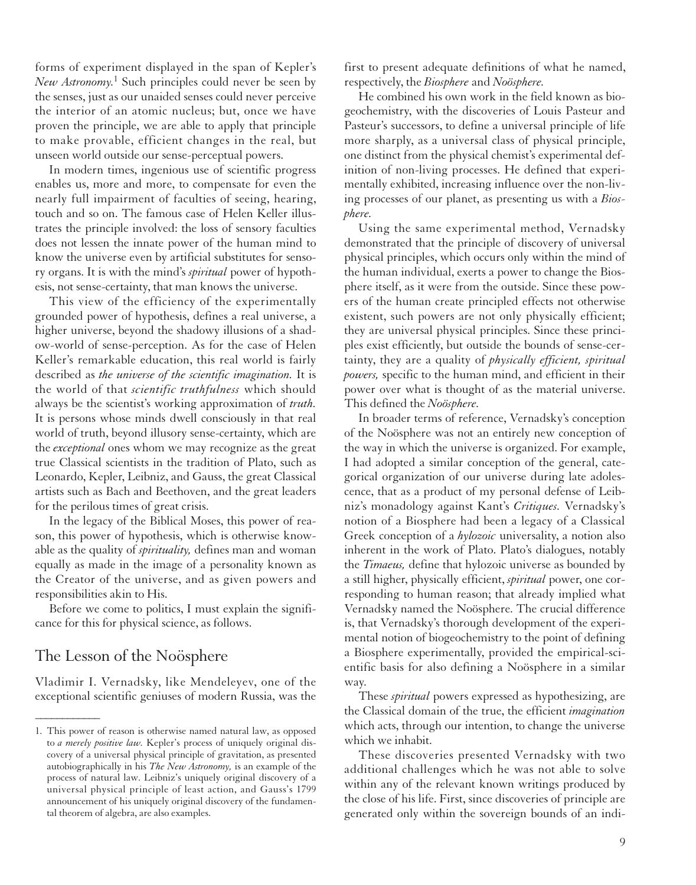forms of experiment displayed in the span of Kepler's *New Astronomy.*<sup>1</sup> Such principles could never be seen by the senses, just as our unaided senses could never perceive the interior of an atomic nucleus; but, once we have proven the principle, we are able to apply that principle to make provable, efficient changes in the real, but unseen world outside our sense-perceptual powers.

In modern times, ingenious use of scientific progress enables us, more and more, to compensate for even the nearly full impairment of faculties of seeing, hearing, touch and so on. The famous case of Helen Keller illustrates the principle involved: the loss of sensory faculties does not lessen the innate power of the human mind to know the universe even by artificial substitutes for sensory organs. It is with the mind's *spiritual* power of hypothesis, not sense-certainty, that man knows the universe.

This view of the efficiency of the experimentally grounded power of hypothesis, defines a real universe, a higher universe, beyond the shadowy illusions of a shadow-world of sense-perception. As for the case of Helen Keller's remarkable education, this real world is fairly described as *the universe of the scientific imagination.* It is the world of that *scientific truthfulness* which should always be the scientist's working approximation of *truth.* It is persons whose minds dwell consciously in that real world of truth, beyond illusory sense-certainty, which are the *exceptional* ones whom we may recognize as the great true Classical scientists in the tradition of Plato, such as Leonardo, Kepler, Leibniz, and Gauss, the great Classical artists such as Bach and Beethoven, and the great leaders for the perilous times of great crisis.

In the legacy of the Biblical Moses, this power of reason, this power of hypothesis, which is otherwise knowable as the quality of *spirituality,* defines man and woman equally as made in the image of a personality known as the Creator of the universe, and as given powers and responsibilities akin to His.

Before we come to politics, I must explain the significance for this for physical science, as follows.

#### The Lesson of the Noösphere

*\_\_\_\_\_\_\_\_\_\_\_\_*

Vladimir I. Vernadsky, like Mendeleyev, one of the exceptional scientific geniuses of modern Russia, was the first to present adequate definitions of what he named, respectively, the *Biosphere* and *Noösphere.*

He combined his own work in the field known as biogeochemistry, with the discoveries of Louis Pasteur and Pasteur's successors, to define a universal principle of life more sharply, as a universal class of physical principle, one distinct from the physical chemist's experimental definition of non-living processes. He defined that experimentally exhibited, increasing influence over the non-living processes of our planet, as presenting us with a *Biosphere.*

Using the same experimental method, Vernadsky demonstrated that the principle of discovery of universal physical principles, which occurs only within the mind of the human individual, exerts a power to change the Biosphere itself, as it were from the outside. Since these powers of the human create principled effects not otherwise existent, such powers are not only physically efficient; they are universal physical principles. Since these principles exist efficiently, but outside the bounds of sense-certainty, they are a quality of *physically efficient, spiritual powers,* specific to the human mind, and efficient in their power over what is thought of as the material universe. This defined the *Noösphere.*

In broader terms of reference, Vernadsky's conception of the Noösphere was not an entirely new conception of the way in which the universe is organized. For example, I had adopted a similar conception of the general, categorical organization of our universe during late adolescence, that as a product of my personal defense of Leibniz's monadology against Kant's *Critiques.* Vernadsky's notion of a Biosphere had been a legacy of a Classical Greek conception of a *hylozoic* universality, a notion also inherent in the work of Plato. Plato's dialogues, notably the *Timaeus,* define that hylozoic universe as bounded by a still higher, physically efficient, *spiritual* power, one corresponding to human reason; that already implied what Vernadsky named the Noösphere. The crucial difference is, that Vernadsky's thorough development of the experimental notion of biogeochemistry to the point of defining a Biosphere experimentally, provided the empirical-scientific basis for also defining a Noösphere in a similar way.

These *spiritual* powers expressed as hypothesizing, are the Classical domain of the true, the efficient *imagination* which acts, through our intention, to change the universe which we inhabit.

These discoveries presented Vernadsky with two additional challenges which he was not able to solve within any of the relevant known writings produced by the close of his life. First, since discoveries of principle are generated only within the sovereign bounds of an indi-

<sup>1.</sup> This power of reason is otherwise named natural law, as opposed to *a merely positive law.* Kepler's process of uniquely original discovery of a universal physical principle of gravitation, as presented autobiographically in his *The New Astronomy,* is an example of the process of natural law. Leibniz's uniquely original discovery of a universal physical principle of least action, and Gauss's 1799 announcement of his uniquely original discovery of the fundamental theorem of algebra, are also examples.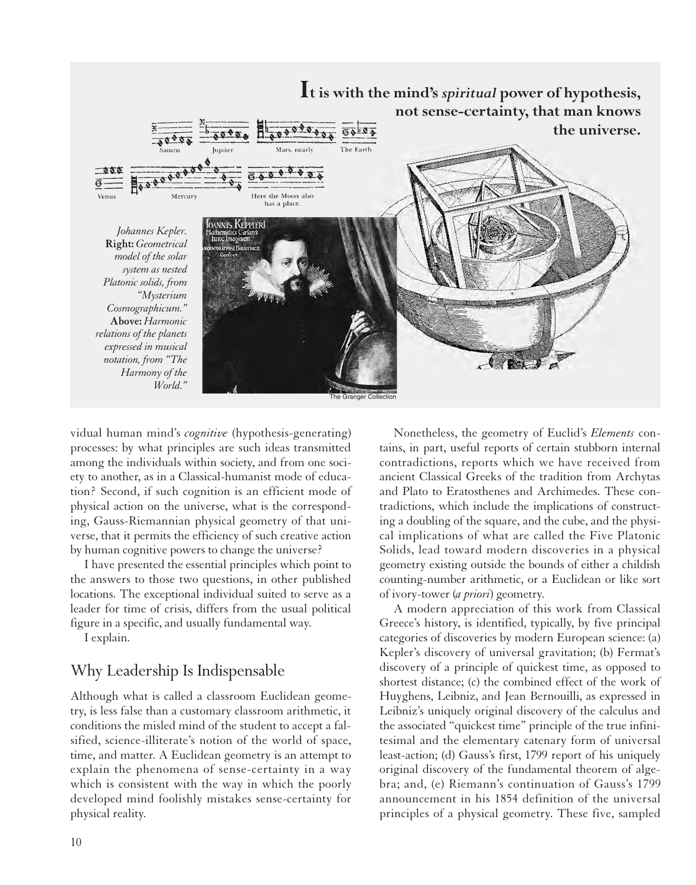

vidual human mind's *cognitive* (hypothesis-generating) processes: by what principles are such ideas transmitted among the individuals within society, and from one society to another, as in a Classical-humanist mode of education? Second, if such cognition is an efficient mode of physical action on the universe, what is the corresponding, Gauss-Riemannian physical geometry of that universe, that it permits the efficiency of such creative action by human cognitive powers to change the universe?

I have presented the essential principles which point to the answers to those two questions, in other published locations. The exceptional individual suited to serve as a leader for time of crisis, differs from the usual political figure in a specific, and usually fundamental way.

I explain.

# Why Leadership Is Indispensable

Although what is called a classroom Euclidean geometry, is less false than a customary classroom arithmetic, it conditions the misled mind of the student to accept a falsified, science-illiterate's notion of the world of space, time, and matter. A Euclidean geometry is an attempt to explain the phenomena of sense-certainty in a way which is consistent with the way in which the poorly developed mind foolishly mistakes sense-certainty for physical reality.

Nonetheless, the geometry of Euclid's *Elements* contains, in part, useful reports of certain stubborn internal contradictions, reports which we have received from ancient Classical Greeks of the tradition from Archytas and Plato to Eratosthenes and Archimedes. These contradictions, which include the implications of constructing a doubling of the square, and the cube, and the physical implications of what are called the Five Platonic Solids, lead toward modern discoveries in a physical geometry existing outside the bounds of either a childish counting-number arithmetic, or a Euclidean or like sort of ivory-tower (*a priori*) geometry.

A modern appreciation of this work from Classical Greece's history, is identified, typically, by five principal categories of discoveries by modern European science: (a) Kepler's discovery of universal gravitation; (b) Fermat's discovery of a principle of quickest time, as opposed to shortest distance; (c) the combined effect of the work of Huyghens, Leibniz, and Jean Bernouilli, as expressed in Leibniz's uniquely original discovery of the calculus and the associated "quickest time" principle of the true infinitesimal and the elementary catenary form of universal least-action; (d) Gauss's first, 1799 report of his uniquely original discovery of the fundamental theorem of algebra; and, (e) Riemann's continuation of Gauss's 1799 announcement in his 1854 definition of the universal principles of a physical geometry. These five, sampled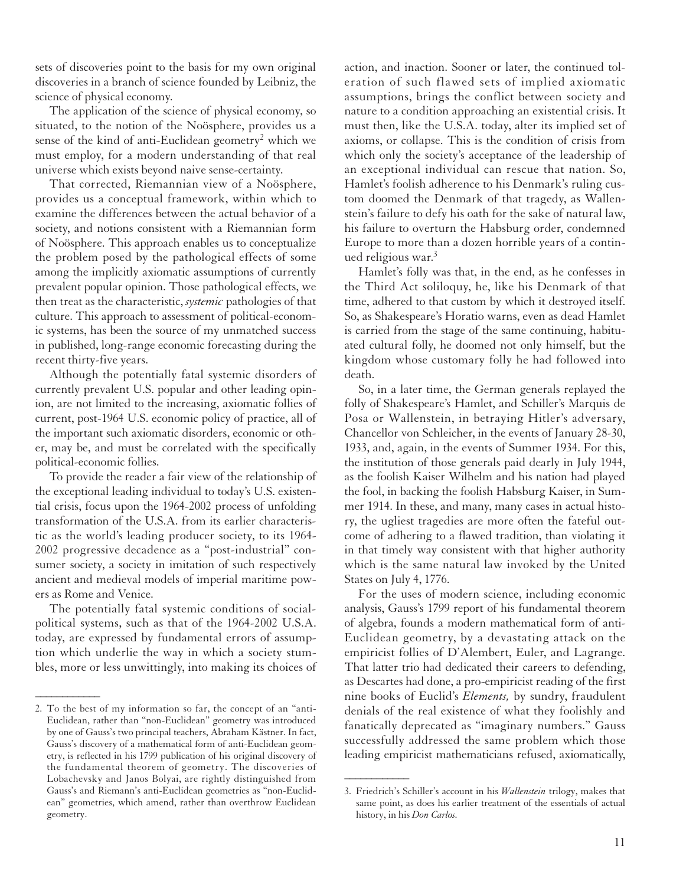sets of discoveries point to the basis for my own original discoveries in a branch of science founded by Leibniz, the science of physical economy.

The application of the science of physical economy, so situated, to the notion of the Noösphere, provides us a sense of the kind of anti-Euclidean geometry<sup>2</sup> which we must employ, for a modern understanding of that real universe which exists beyond naive sense-certainty.

That corrected, Riemannian view of a Noösphere, provides us a conceptual framework, within which to examine the differences between the actual behavior of a society, and notions consistent with a Riemannian form of Noösphere. This approach enables us to conceptualize the problem posed by the pathological effects of some among the implicitly axiomatic assumptions of currently prevalent popular opinion. Those pathological effects, we then treat as the characteristic, *systemic* pathologies of that culture. This approach to assessment of political-economic systems, has been the source of my unmatched success in published, long-range economic forecasting during the recent thirty-five years.

Although the potentially fatal systemic disorders of currently prevalent U.S. popular and other leading opinion, are not limited to the increasing, axiomatic follies of current, post-1964 U.S. economic policy of practice, all of the important such axiomatic disorders, economic or other, may be, and must be correlated with the specifically political-economic follies.

To provide the reader a fair view of the relationship of the exceptional leading individual to today's U.S. existential crisis, focus upon the 1964-2002 process of unfolding transformation of the U.S.A. from its earlier characteristic as the world's leading producer society, to its 1964- 2002 progressive decadence as a "post-industrial" consumer society, a society in imitation of such respectively ancient and medieval models of imperial maritime powers as Rome and Venice.

The potentially fatal systemic conditions of socialpolitical systems, such as that of the 1964-2002 U.S.A. today, are expressed by fundamental errors of assumption which underlie the way in which a society stumbles, more or less unwittingly, into making its choices of

*\_\_\_\_\_\_\_\_\_\_\_\_*

action, and inaction. Sooner or later, the continued toleration of such flawed sets of implied axiomatic assumptions, brings the conflict between society and nature to a condition approaching an existential crisis. It must then, like the U.S.A. today, alter its implied set of axioms, or collapse. This is the condition of crisis from which only the society's acceptance of the leadership of an exceptional individual can rescue that nation. So, Hamlet's foolish adherence to his Denmark's ruling custom doomed the Denmark of that tragedy, as Wallenstein's failure to defy his oath for the sake of natural law, his failure to overturn the Habsburg order, condemned Europe to more than a dozen horrible years of a continued religious war.3

Hamlet's folly was that, in the end, as he confesses in the Third Act soliloquy, he, like his Denmark of that time, adhered to that custom by which it destroyed itself. So, as Shakespeare's Horatio warns, even as dead Hamlet is carried from the stage of the same continuing, habituated cultural folly, he doomed not only himself, but the kingdom whose customary folly he had followed into death.

So, in a later time, the German generals replayed the folly of Shakespeare's Hamlet, and Schiller's Marquis de Posa or Wallenstein, in betraying Hitler's adversary, Chancellor von Schleicher, in the events of January 28-30, 1933, and, again, in the events of Summer 1934. For this, the institution of those generals paid dearly in July 1944, as the foolish Kaiser Wilhelm and his nation had played the fool, in backing the foolish Habsburg Kaiser, in Summer 1914. In these, and many, many cases in actual history, the ugliest tragedies are more often the fateful outcome of adhering to a flawed tradition, than violating it in that timely way consistent with that higher authority which is the same natural law invoked by the United States on July 4, 1776.

For the uses of modern science, including economic analysis, Gauss's 1799 report of his fundamental theorem of algebra, founds a modern mathematical form of anti-Euclidean geometry, by a devastating attack on the empiricist follies of D'Alembert, Euler, and Lagrange. That latter trio had dedicated their careers to defending, as Descartes had done, a pro-empiricist reading of the first nine books of Euclid's *Elements,* by sundry, fraudulent denials of the real existence of what they foolishly and fanatically deprecated as "imaginary numbers." Gauss successfully addressed the same problem which those leading empiricist mathematicians refused, axiomatically,

*\_\_\_\_\_\_\_\_\_\_\_\_*

<sup>2.</sup> To the best of my information so far, the concept of an "anti-Euclidean, rather than "non-Euclidean" geometry was introduced by one of Gauss's two principal teachers, Abraham Kästner. In fact, Gauss's discovery of a mathematical form of anti-Euclidean geometry, is reflected in his 1799 publication of his original discovery of the fundamental theorem of geometry. The discoveries of Lobachevsky and Janos Bolyai, are rightly distinguished from Gauss's and Riemann's anti-Euclidean geometries as "non-Euclidean" geometries, which amend, rather than overthrow Euclidean geometry.

<sup>3.</sup> Friedrich's Schiller's account in his *Wallenstein* trilogy, makes that same point, as does his earlier treatment of the essentials of actual history, in his *Don Carlos.*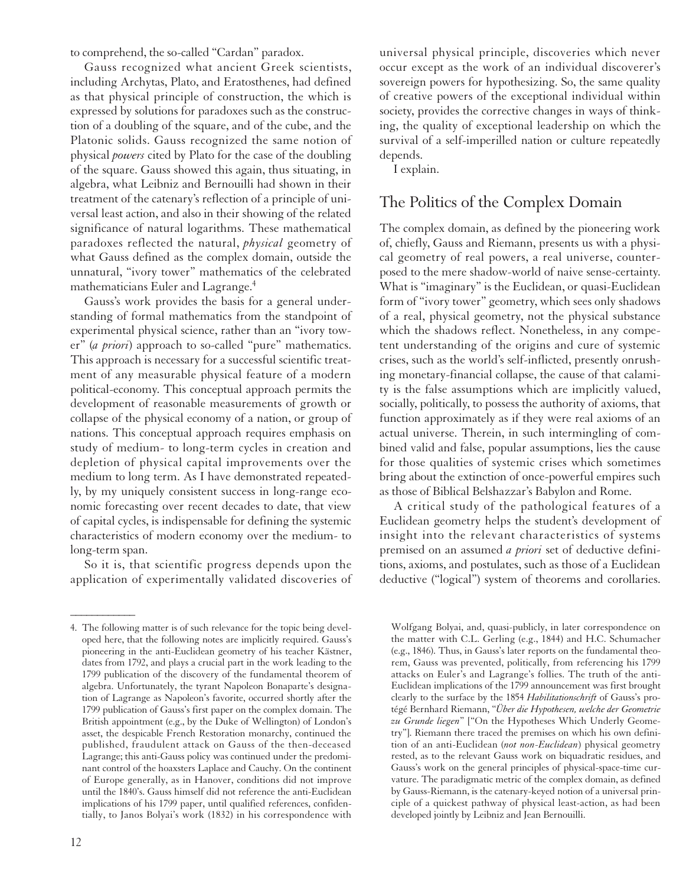to comprehend, the so-called "Cardan" paradox.

Gauss recognized what ancient Greek scientists, including Archytas, Plato, and Eratosthenes, had defined as that physical principle of construction, the which is expressed by solutions for paradoxes such as the construction of a doubling of the square, and of the cube, and the Platonic solids. Gauss recognized the same notion of physical *powers* cited by Plato for the case of the doubling of the square. Gauss showed this again, thus situating, in algebra, what Leibniz and Bernouilli had shown in their treatment of the catenary's reflection of a principle of universal least action, and also in their showing of the related significance of natural logarithms. These mathematical paradoxes reflected the natural, *physical* geometry of what Gauss defined as the complex domain, outside the unnatural, "ivory tower" mathematics of the celebrated mathematicians Euler and Lagrange.<sup>4</sup>

Gauss's work provides the basis for a general understanding of formal mathematics from the standpoint of experimental physical science, rather than an "ivory tower" (*a priori*) approach to so-called "pure" mathematics. This approach is necessary for a successful scientific treatment of any measurable physical feature of a modern political-economy. This conceptual approach permits the development of reasonable measurements of growth or collapse of the physical economy of a nation, or group of nations. This conceptual approach requires emphasis on study of medium- to long-term cycles in creation and depletion of physical capital improvements over the medium to long term. As I have demonstrated repeatedly, by my uniquely consistent success in long-range economic forecasting over recent decades to date, that view of capital cycles, is indispensable for defining the systemic characteristics of modern economy over the medium- to long-term span.

So it is, that scientific progress depends upon the application of experimentally validated discoveries of

*\_\_\_\_\_\_\_\_\_\_\_\_*

universal physical principle, discoveries which never occur except as the work of an individual discoverer's sovereign powers for hypothesizing. So, the same quality of creative powers of the exceptional individual within society, provides the corrective changes in ways of thinking, the quality of exceptional leadership on which the survival of a self-imperilled nation or culture repeatedly depends.

I explain.

### The Politics of the Complex Domain

The complex domain, as defined by the pioneering work of, chiefly, Gauss and Riemann, presents us with a physical geometry of real powers, a real universe, counterposed to the mere shadow-world of naive sense-certainty. What is "imaginary" is the Euclidean, or quasi-Euclidean form of "ivory tower" geometry, which sees only shadows of a real, physical geometry, not the physical substance which the shadows reflect. Nonetheless, in any competent understanding of the origins and cure of systemic crises, such as the world's self-inflicted, presently onrushing monetary-financial collapse, the cause of that calamity is the false assumptions which are implicitly valued, socially, politically, to possess the authority of axioms, that function approximately as if they were real axioms of an actual universe. Therein, in such intermingling of combined valid and false, popular assumptions, lies the cause for those qualities of systemic crises which sometimes bring about the extinction of once-powerful empires such as those of Biblical Belshazzar's Babylon and Rome.

A critical study of the pathological features of a Euclidean geometry helps the student's development of insight into the relevant characteristics of systems premised on an assumed *a priori* set of deductive definitions, axioms, and postulates, such as those of a Euclidean deductive ("logical") system of theorems and corollaries.

Wolfgang Bolyai, and, quasi-publicly, in later correspondence on the matter with C.L. Gerling (e.g., 1844) and H.C. Schumacher (e.g., 1846). Thus, in Gauss's later reports on the fundamental theorem, Gauss was prevented, politically, from referencing his 1799 attacks on Euler's and Lagrange's follies. The truth of the anti-Euclidean implications of the 1799 announcement was first brought clearly to the surface by the 1854 *Habilitationschrift* of Gauss's protégé Bernhard Riemann, "*Über die Hypothesen, welche der Geometrie zu Grunde liegen*" ["On the Hypotheses Which Underly Geometry"]. Riemann there traced the premises on which his own definition of an anti-Euclidean (*not non-Euclidean*) physical geometry rested, as to the relevant Gauss work on biquadratic residues, and Gauss's work on the general principles of physical-space-time curvature. The paradigmatic metric of the complex domain, as defined by Gauss-Riemann, is the catenary-keyed notion of a universal principle of a quickest pathway of physical least-action, as had been developed jointly by Leibniz and Jean Bernouilli.

<sup>4.</sup> The following matter is of such relevance for the topic being developed here, that the following notes are implicitly required. Gauss's pioneering in the anti-Euclidean geometry of his teacher Kästner, dates from 1792, and plays a crucial part in the work leading to the 1799 publication of the discovery of the fundamental theorem of algebra. Unfortunately, the tyrant Napoleon Bonaparte's designation of Lagrange as Napoleon's favorite, occurred shortly after the 1799 publication of Gauss's first paper on the complex domain. The British appointment (e.g., by the Duke of Wellington) of London's asset, the despicable French Restoration monarchy, continued the published, fraudulent attack on Gauss of the then-deceased Lagrange; this anti-Gauss policy was continued under the predominant control of the hoaxsters Laplace and Cauchy. On the continent of Europe generally, as in Hanover, conditions did not improve until the 1840's. Gauss himself did not reference the anti-Euclidean implications of his 1799 paper, until qualified references, confidentially, to Janos Bolyai's work (1832) in his correspondence with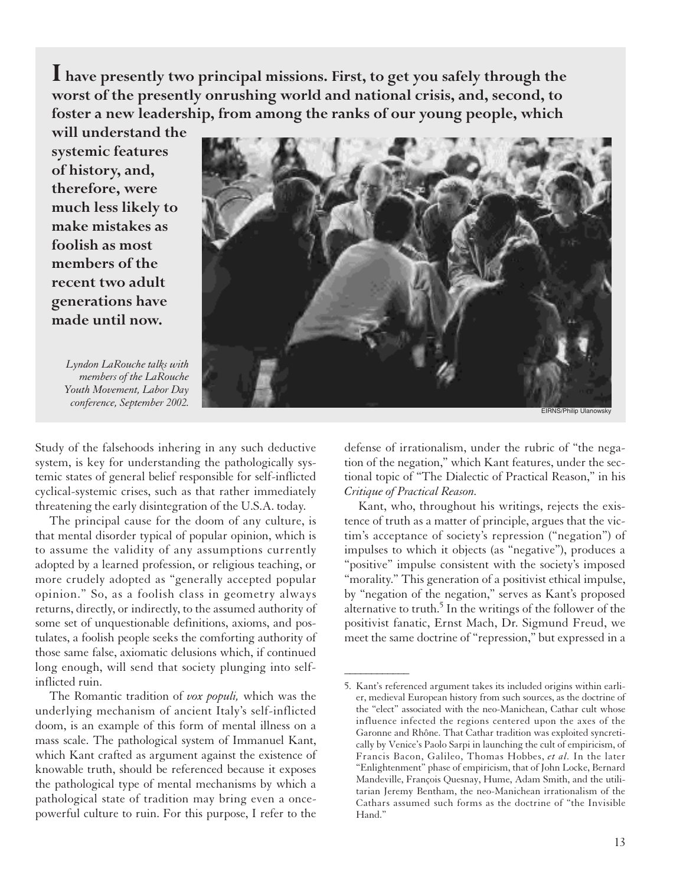**I have presently two principal missions. First, to get you safely through the worst of the presently onrushing world and national crisis, and, second, to foster a new leadership, from among the ranks of our young people, which**

**will understand the systemic features of history, and, therefore, were much less likely to make mistakes as foolish as most members of the recent two adult generations have made until now.**



*\_\_\_\_\_\_\_\_\_\_\_\_*

*Lyndon LaRouche talks with members of the LaRouche Youth Movement, Labor Day conference, September 2002.* 

Study of the falsehoods inhering in any such deductive system, is key for understanding the pathologically systemic states of general belief responsible for self-inflicted cyclical-systemic crises, such as that rather immediately threatening the early disintegration of the U.S.A. today.

The principal cause for the doom of any culture, is that mental disorder typical of popular opinion, which is to assume the validity of any assumptions currently adopted by a learned profession, or religious teaching, or more crudely adopted as "generally accepted popular opinion." So, as a foolish class in geometry always returns, directly, or indirectly, to the assumed authority of some set of unquestionable definitions, axioms, and postulates, a foolish people seeks the comforting authority of those same false, axiomatic delusions which, if continued long enough, will send that society plunging into selfinflicted ruin.

The Romantic tradition of *vox populi,* which was the underlying mechanism of ancient Italy's self-inflicted doom, is an example of this form of mental illness on a mass scale. The pathological system of Immanuel Kant, which Kant crafted as argument against the existence of knowable truth, should be referenced because it exposes the pathological type of mental mechanisms by which a pathological state of tradition may bring even a oncepowerful culture to ruin. For this purpose, I refer to the defense of irrationalism, under the rubric of "the negation of the negation," which Kant features, under the sectional topic of "The Dialectic of Practical Reason," in his *Critique of Practical Reason.*

Kant, who, throughout his writings, rejects the existence of truth as a matter of principle, argues that the victim's acceptance of society's repression ("negation") of impulses to which it objects (as "negative"), produces a "positive" impulse consistent with the society's imposed "morality." This generation of a positivist ethical impulse, by "negation of the negation," serves as Kant's proposed alternative to truth.<sup>5</sup> In the writings of the follower of the positivist fanatic, Ernst Mach, Dr. Sigmund Freud, we meet the same doctrine of "repression," but expressed in a

<sup>5.</sup> Kant's referenced argument takes its included origins within earlier, medieval European history from such sources, as the doctrine of the "elect" associated with the neo-Manichean, Cathar cult whose influence infected the regions centered upon the axes of the Garonne and Rhône. That Cathar tradition was exploited syncretically by Venice's Paolo Sarpi in launching the cult of empiricism, of Francis Bacon, Galileo, Thomas Hobbes, *et al.* In the later "Enlightenment" phase of empiricism, that of John Locke, Bernard Mandeville, François Quesnay, Hume, Adam Smith, and the utilitarian Jeremy Bentham, the neo-Manichean irrationalism of the Cathars assumed such forms as the doctrine of "the Invisible Hand."